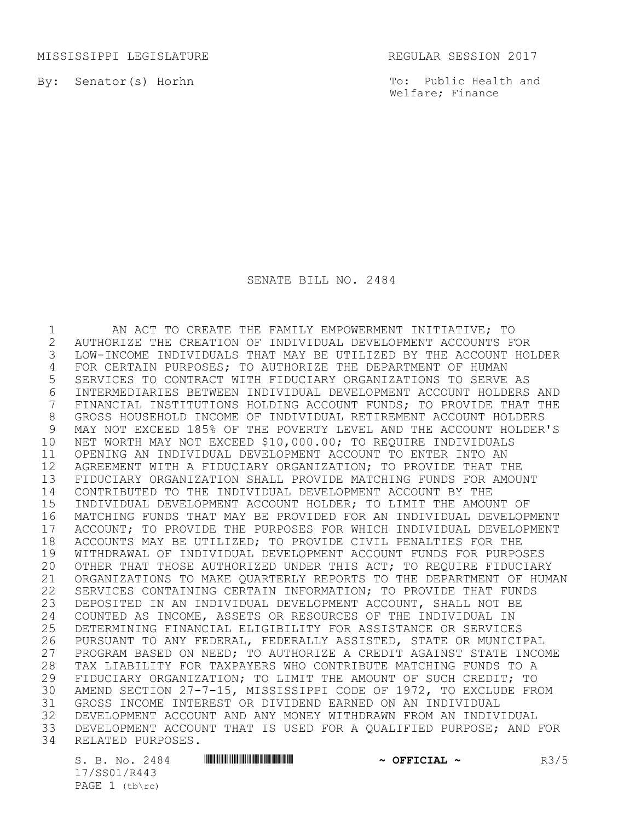MISSISSIPPI LEGISLATURE REGULAR SESSION 2017

By: Senator(s) Horhn

To: Public Health and Welfare; Finance

SENATE BILL NO. 2484

1 AN ACT TO CREATE THE FAMILY EMPOWERMENT INITIATIVE; TO 2 AUTHORIZE THE CREATION OF INDIVIDUAL DEVELOPMENT ACCOUNTS FOR LOW-INCOME INDIVIDUALS THAT MAY BE UTILIZED BY THE ACCOUNT HOLDER 4 FOR CERTAIN PURPOSES; TO AUTHORIZE THE DEPARTMENT OF HUMAN<br>5 SERVICES TO CONTRACT WITH FIDUCIARY ORGANIZATIONS TO SERVE 5 SERVICES TO CONTRACT WITH FIDUCIARY ORGANIZATIONS TO SERVE AS 6 INTERMEDIARIES BETWEEN INDIVIDUAL DEVELOPMENT ACCOUNT HOLDERS AND<br>7 FINANCIAL INSTITUTIONS HOLDING ACCOUNT FUNDS: TO PROVIDE THAT THE FINANCIAL INSTITUTIONS HOLDING ACCOUNT FUNDS; TO PROVIDE THAT THE 8 GROSS HOUSEHOLD INCOME OF INDIVIDUAL RETIREMENT ACCOUNT HOLDERS<br>9 MAY NOT EXCEED 185% OF THE POVERTY LEVEL AND THE ACCOUNT HOLDER 9 MAY NOT EXCEED 185% OF THE POVERTY LEVEL AND THE ACCOUNT HOLDER'S 10 NET WORTH MAY NOT EXCEED \$10,000.00; TO REQUIRE INDIVIDUALS 11 OPENING AN INDIVIDUAL DEVELOPMENT ACCOUNT TO ENTER INTO AN 12 AGREEMENT WITH A FIDUCIARY ORGANIZATION; TO PROVIDE THAT THE 13 FIDUCIARY ORGANIZATION SHALL PROVIDE MATCHING FUNDS FOR AMOUNT 14 CONTRIBUTED TO THE INDIVIDUAL DEVELOPMENT ACCOUNT BY THE 15 INDIVIDUAL DEVELOPMENT ACCOUNT HOLDER; TO LIMIT THE AMOUNT OF 16 MATCHING FUNDS THAT MAY BE PROVIDED FOR AN INDIVIDUAL DEVELOPMENT 17 ACCOUNT; TO PROVIDE THE PURPOSES FOR WHICH INDIVIDUAL DEVELOPMENT<br>18 ACCOUNTS MAY BE UTILIZED; TO PROVIDE CIVIL PENALTIES FOR THE 18 ACCOUNTS MAY BE UTILIZED; TO PROVIDE CIVIL PENALTIES FOR THE<br>19 WITHDRAWAL OF INDIVIDUAL DEVELOPMENT ACCOUNT FUNDS FOR PURPO 19 WITHDRAWAL OF INDIVIDUAL DEVELOPMENT ACCOUNT FUNDS FOR PURPOSES 20 OTHER THAT THOSE AUTHORIZED UNDER THIS ACT; TO REQUIRE FIDUCIARY 21 ORGANIZATIONS TO MAKE QUARTERLY REPORTS TO THE DEPARTMENT OF HUMAN 22 SERVICES CONTAINING CERTAIN INFORMATION; TO PROVIDE THAT FUNDS 23 DEPOSITED IN AN INDIVIDUAL DEVELOPMENT ACCOUNT, SHALL NOT BE 24 COUNTED AS INCOME, ASSETS OR RESOURCES OF THE INDIVIDUAL IN<br>25 DETERMINING FINANCIAL ELIGIBILITY FOR ASSISTANCE OR SERVICE. 25 DETERMINING FINANCIAL ELIGIBILITY FOR ASSISTANCE OR SERVICES<br>26 PURSUANT TO ANY FEDERAL, FEDERALLY ASSISTED, STATE OR MUNICI 26 PURSUANT TO ANY FEDERAL, FEDERALLY ASSISTED, STATE OR MUNICIPAL<br>27 PROGRAM BASED ON NEED: TO AUTHORIZE A CREDIT AGAINST STATE INCO 27 PROGRAM BASED ON NEED; TO AUTHORIZE A CREDIT AGAINST STATE INCOME 28 TAX LIABILITY FOR TAXPAYERS WHO CONTRIBUTE MATCHING FUNDS TO A<br>29 FIDUCIARY ORGANIZATION; TO LIMIT THE AMOUNT OF SUCH CREDIT; TO 29 FIDUCIARY ORGANIZATION; TO LIMIT THE AMOUNT OF SUCH CREDIT; TO<br>30 AMEND SECTION 27-7-15, MISSISSIPPI CODE OF 1972, TO EXCLUDE FRO 30 AMEND SECTION 27-7-15, MISSISSIPPI CODE OF 1972, TO EXCLUDE FROM<br>31 GROSS INCOME INTEREST OR DIVIDEND EARNED ON AN INDIVIDUAL 31 GROSS INCOME INTEREST OR DIVIDEND EARNED ON AN INDIVIDUAL 32 DEVELOPMENT ACCOUNT AND ANY MONEY WITHDRAWN FROM AN INDIVIDUAL<br>33 DEVELOPMENT ACCOUNT THAT IS USED FOR A OUALIFIED PURPOSE; AND DEVELOPMENT ACCOUNT THAT IS USED FOR A QUALIFIED PURPOSE; AND FOR 34 RELATED PURPOSES.

17/SS01/R443 PAGE  $1$  (tb\rc)

S. B. No. 2484 \*SS01/R443\* **~ OFFICIAL ~** R3/5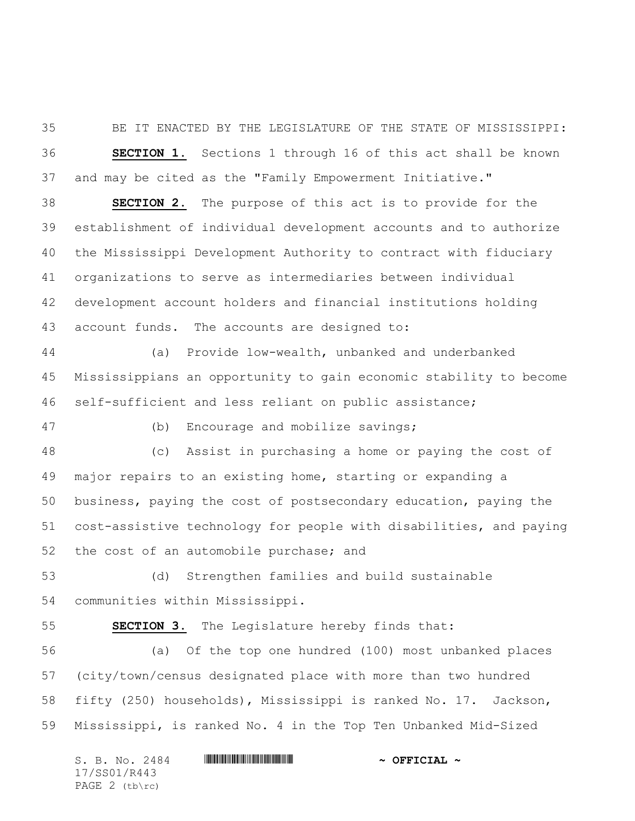BE IT ENACTED BY THE LEGISLATURE OF THE STATE OF MISSISSIPPI: **SECTION 1.** Sections 1 through 16 of this act shall be known and may be cited as the "Family Empowerment Initiative."

 **SECTION 2.** The purpose of this act is to provide for the establishment of individual development accounts and to authorize the Mississippi Development Authority to contract with fiduciary organizations to serve as intermediaries between individual development account holders and financial institutions holding account funds. The accounts are designed to:

 (a) Provide low-wealth, unbanked and underbanked Mississippians an opportunity to gain economic stability to become self-sufficient and less reliant on public assistance;

(b) Encourage and mobilize savings;

 (c) Assist in purchasing a home or paying the cost of major repairs to an existing home, starting or expanding a business, paying the cost of postsecondary education, paying the cost-assistive technology for people with disabilities, and paying the cost of an automobile purchase; and

 (d) Strengthen families and build sustainable communities within Mississippi.

**SECTION 3.** The Legislature hereby finds that:

 (a) Of the top one hundred (100) most unbanked places (city/town/census designated place with more than two hundred fifty (250) households), Mississippi is ranked No. 17. Jackson, Mississippi, is ranked No. 4 in the Top Ten Unbanked Mid-Sized

|                  |  |  | S. B. No. 2484 |  |  | $\sim$ OFFICIAL $\sim$ |  |
|------------------|--|--|----------------|--|--|------------------------|--|
| 17/SS01/R443     |  |  |                |  |  |                        |  |
| PAGE $2$ (tb\rc) |  |  |                |  |  |                        |  |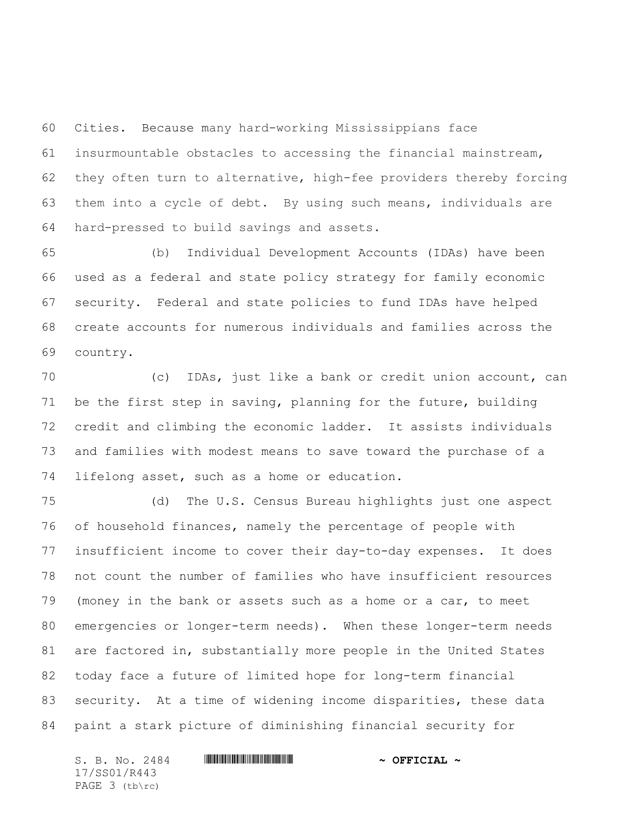Cities. Because many hard-working Mississippians face insurmountable obstacles to accessing the financial mainstream, they often turn to alternative, high-fee providers thereby forcing them into a cycle of debt. By using such means, individuals are hard-pressed to build savings and assets.

 (b) Individual Development Accounts (IDAs) have been used as a federal and state policy strategy for family economic security. Federal and state policies to fund IDAs have helped create accounts for numerous individuals and families across the country.

 (c) IDAs, just like a bank or credit union account, can be the first step in saving, planning for the future, building credit and climbing the economic ladder. It assists individuals and families with modest means to save toward the purchase of a lifelong asset, such as a home or education.

 (d) The U.S. Census Bureau highlights just one aspect of household finances, namely the percentage of people with insufficient income to cover their day-to-day expenses. It does not count the number of families who have insufficient resources (money in the bank or assets such as a home or a car, to meet emergencies or longer-term needs). When these longer-term needs are factored in, substantially more people in the United States today face a future of limited hope for long-term financial security. At a time of widening income disparities, these data paint a stark picture of diminishing financial security for

S. B. No. 2484 \*SS01/R443\* **~ OFFICIAL ~** 17/SS01/R443 PAGE 3 (tb\rc)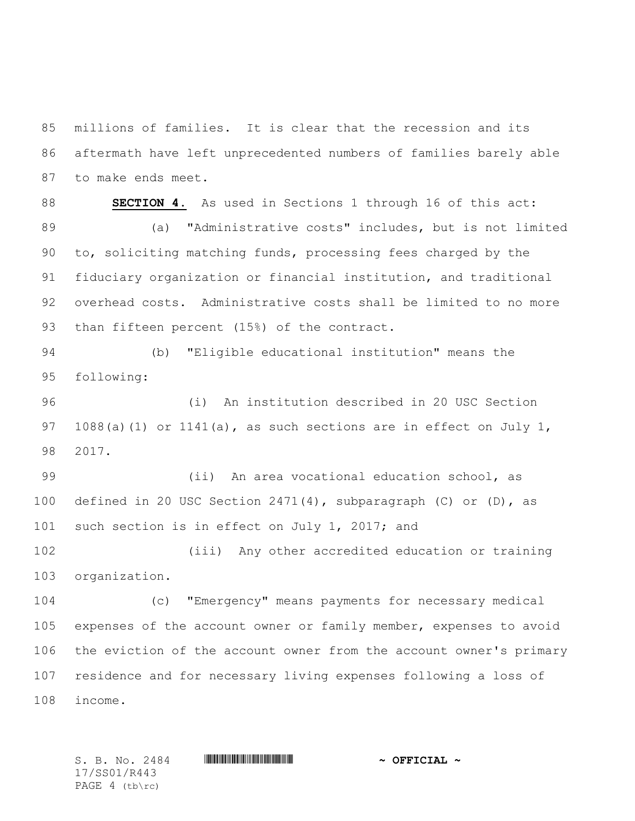millions of families. It is clear that the recession and its aftermath have left unprecedented numbers of families barely able to make ends meet.

 **SECTION 4.** As used in Sections 1 through 16 of this act: (a) "Administrative costs" includes, but is not limited to, soliciting matching funds, processing fees charged by the fiduciary organization or financial institution, and traditional overhead costs. Administrative costs shall be limited to no more 93 than fifteen percent (15%) of the contract.

 (b) "Eligible educational institution" means the following:

 (i) An institution described in 20 USC Section 97 1088(a)(1) or 1141(a), as such sections are in effect on July 1, 2017.

 (ii) An area vocational education school, as defined in 20 USC Section 2471(4), subparagraph (C) or (D), as 101 such section is in effect on July 1, 2017; and

 (iii) Any other accredited education or training organization.

 (c) "Emergency" means payments for necessary medical expenses of the account owner or family member, expenses to avoid the eviction of the account owner from the account owner's primary residence and for necessary living expenses following a loss of income.

17/SS01/R443 PAGE 4 (tb\rc)

S. B. No. 2484 \*SS01/R443\* **~ OFFICIAL ~**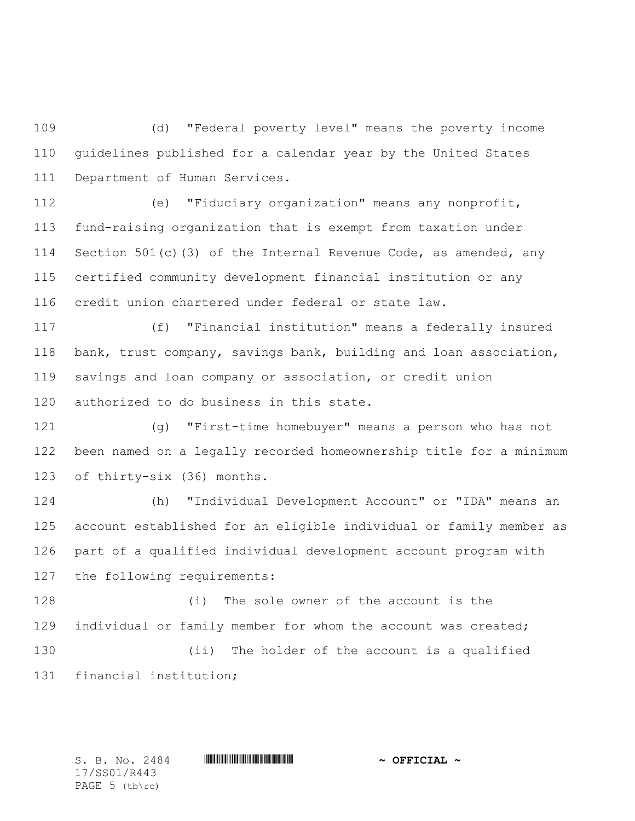(d) "Federal poverty level" means the poverty income guidelines published for a calendar year by the United States Department of Human Services.

 (e) "Fiduciary organization" means any nonprofit, fund-raising organization that is exempt from taxation under 114 Section 501(c)(3) of the Internal Revenue Code, as amended, any certified community development financial institution or any credit union chartered under federal or state law.

 (f) "Financial institution" means a federally insured bank, trust company, savings bank, building and loan association, savings and loan company or association, or credit union authorized to do business in this state.

 (g) "First-time homebuyer" means a person who has not been named on a legally recorded homeownership title for a minimum of thirty-six (36) months.

 (h) "Individual Development Account" or "IDA" means an account established for an eligible individual or family member as part of a qualified individual development account program with the following requirements:

 (i) The sole owner of the account is the individual or family member for whom the account was created; (ii) The holder of the account is a qualified financial institution;

17/SS01/R443 PAGE (tb\rc)

 $S. B. No. 2484$  **. We are allowed the subset of**  $\sim$  **OFFICIAL**  $\sim$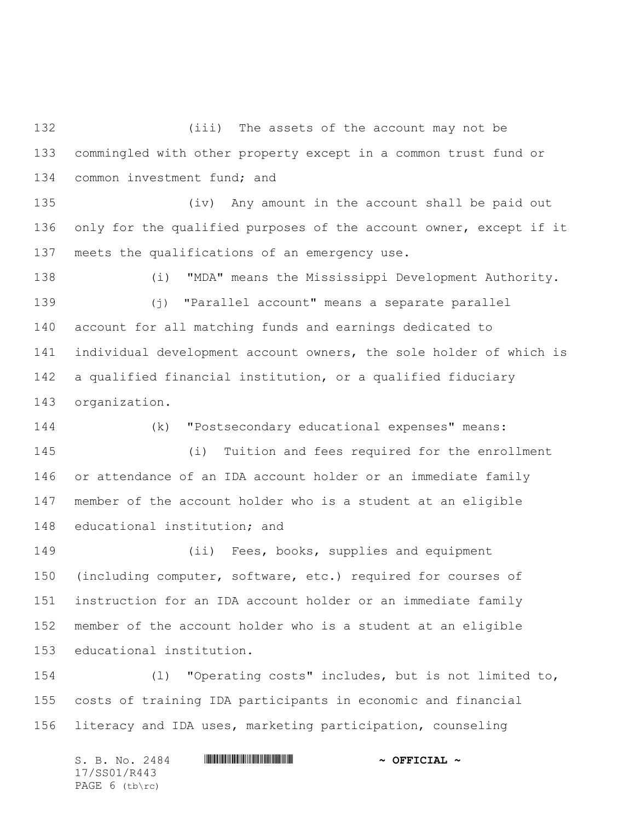(iii) The assets of the account may not be commingled with other property except in a common trust fund or 134 common investment fund; and

 (iv) Any amount in the account shall be paid out only for the qualified purposes of the account owner, except if it meets the qualifications of an emergency use.

 (i) "MDA" means the Mississippi Development Authority. (j) "Parallel account" means a separate parallel account for all matching funds and earnings dedicated to individual development account owners, the sole holder of which is a qualified financial institution, or a qualified fiduciary organization.

 (k) "Postsecondary educational expenses" means: (i) Tuition and fees required for the enrollment or attendance of an IDA account holder or an immediate family member of the account holder who is a student at an eligible educational institution; and

 (ii) Fees, books, supplies and equipment (including computer, software, etc.) required for courses of instruction for an IDA account holder or an immediate family member of the account holder who is a student at an eligible educational institution.

 (l) "Operating costs" includes, but is not limited to, costs of training IDA participants in economic and financial literacy and IDA uses, marketing participation, counseling

S. B. No. 2484 \*SS01/R443\* **~ OFFICIAL ~** 17/SS01/R443 PAGE 6 (tb\rc)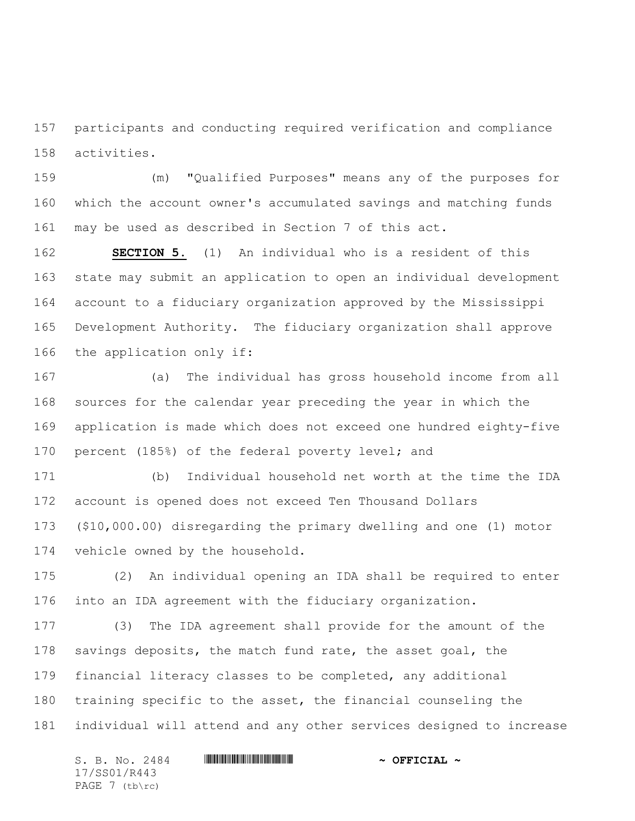participants and conducting required verification and compliance activities.

 (m) "Qualified Purposes" means any of the purposes for which the account owner's accumulated savings and matching funds may be used as described in Section 7 of this act.

 **SECTION 5.** (1) An individual who is a resident of this state may submit an application to open an individual development account to a fiduciary organization approved by the Mississippi Development Authority. The fiduciary organization shall approve the application only if:

 (a) The individual has gross household income from all sources for the calendar year preceding the year in which the application is made which does not exceed one hundred eighty-five percent (185%) of the federal poverty level; and

 (b) Individual household net worth at the time the IDA account is opened does not exceed Ten Thousand Dollars (\$10,000.00) disregarding the primary dwelling and one (1) motor vehicle owned by the household.

 (2) An individual opening an IDA shall be required to enter into an IDA agreement with the fiduciary organization.

 (3) The IDA agreement shall provide for the amount of the 178 savings deposits, the match fund rate, the asset goal, the financial literacy classes to be completed, any additional training specific to the asset, the financial counseling the individual will attend and any other services designed to increase

S. B. No. 2484 \*SS01/R443\* **~ OFFICIAL ~** 17/SS01/R443 PAGE 7 (tb\rc)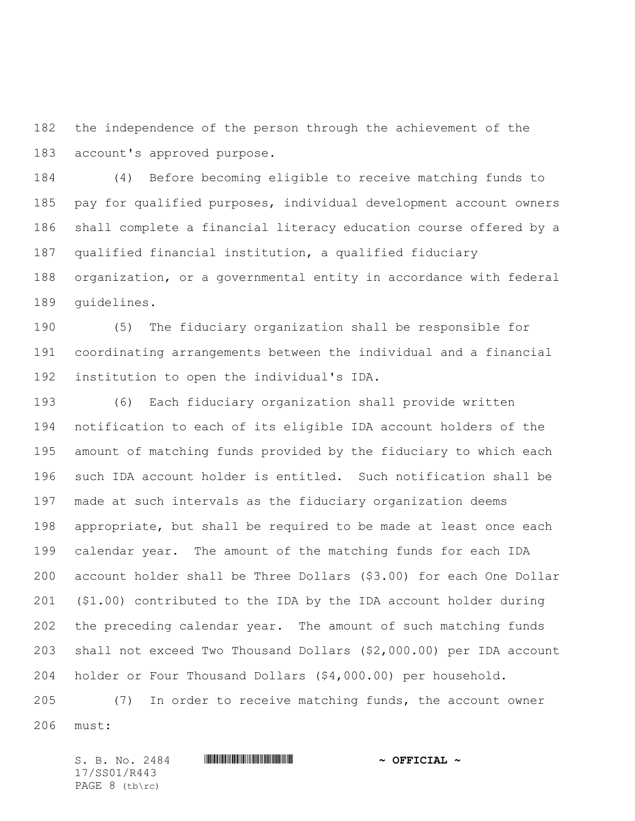the independence of the person through the achievement of the account's approved purpose.

 (4) Before becoming eligible to receive matching funds to pay for qualified purposes, individual development account owners shall complete a financial literacy education course offered by a qualified financial institution, a qualified fiduciary organization, or a governmental entity in accordance with federal guidelines.

 (5) The fiduciary organization shall be responsible for coordinating arrangements between the individual and a financial institution to open the individual's IDA.

 (6) Each fiduciary organization shall provide written notification to each of its eligible IDA account holders of the amount of matching funds provided by the fiduciary to which each such IDA account holder is entitled. Such notification shall be made at such intervals as the fiduciary organization deems appropriate, but shall be required to be made at least once each calendar year. The amount of the matching funds for each IDA account holder shall be Three Dollars (\$3.00) for each One Dollar (\$1.00) contributed to the IDA by the IDA account holder during the preceding calendar year. The amount of such matching funds shall not exceed Two Thousand Dollars (\$2,000.00) per IDA account holder or Four Thousand Dollars (\$4,000.00) per household.

 (7) In order to receive matching funds, the account owner must:

 $S. B. No. 2484$  **. We are allowed the subset of**  $\sim$  **OFFICIAL**  $\sim$ 17/SS01/R443 PAGE 8 (tb\rc)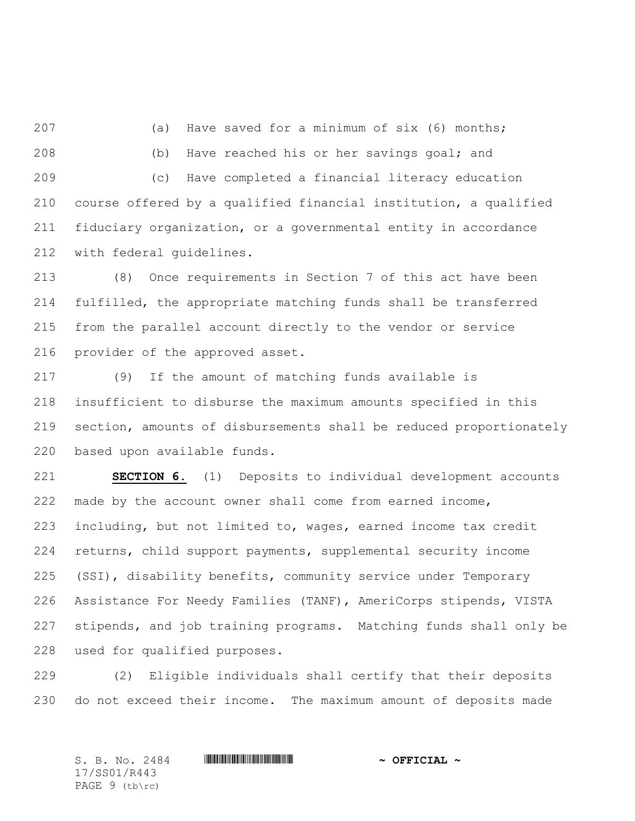(a) Have saved for a minimum of six (6) months; (b) Have reached his or her savings goal; and (c) Have completed a financial literacy education course offered by a qualified financial institution, a qualified fiduciary organization, or a governmental entity in accordance with federal guidelines.

 (8) Once requirements in Section 7 of this act have been fulfilled, the appropriate matching funds shall be transferred from the parallel account directly to the vendor or service provider of the approved asset.

 (9) If the amount of matching funds available is insufficient to disburse the maximum amounts specified in this section, amounts of disbursements shall be reduced proportionately based upon available funds.

 **SECTION 6.** (1) Deposits to individual development accounts made by the account owner shall come from earned income, including, but not limited to, wages, earned income tax credit returns, child support payments, supplemental security income (SSI), disability benefits, community service under Temporary Assistance For Needy Families (TANF), AmeriCorps stipends, VISTA stipends, and job training programs. Matching funds shall only be used for qualified purposes.

 (2) Eligible individuals shall certify that their deposits do not exceed their income. The maximum amount of deposits made

S. B. No. 2484 \*SS01/R443\* **~ OFFICIAL ~** 17/SS01/R443 PAGE 9 (tb\rc)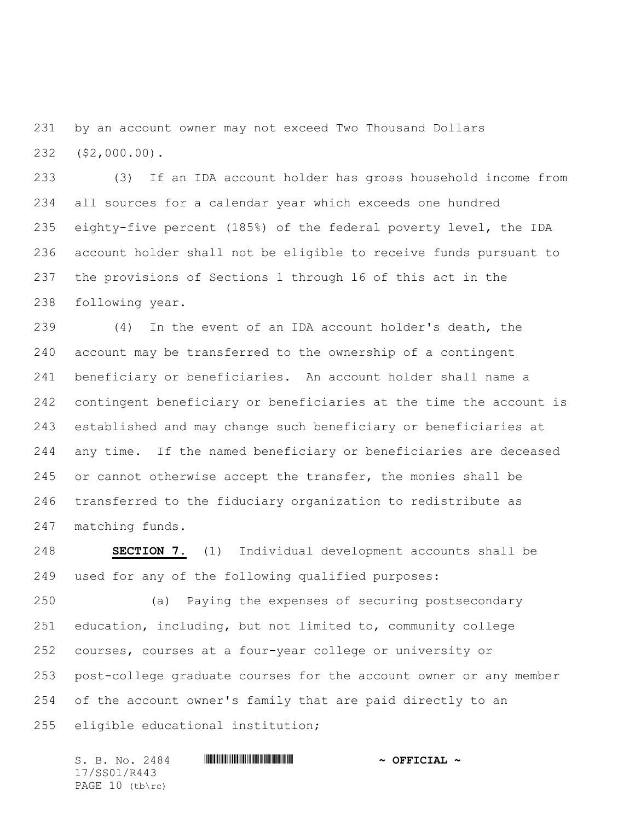by an account owner may not exceed Two Thousand Dollars (\$2,000.00).

 (3) If an IDA account holder has gross household income from all sources for a calendar year which exceeds one hundred eighty-five percent (185%) of the federal poverty level, the IDA account holder shall not be eligible to receive funds pursuant to the provisions of Sections 1 through 16 of this act in the following year.

 (4) In the event of an IDA account holder's death, the account may be transferred to the ownership of a contingent beneficiary or beneficiaries. An account holder shall name a contingent beneficiary or beneficiaries at the time the account is established and may change such beneficiary or beneficiaries at any time. If the named beneficiary or beneficiaries are deceased or cannot otherwise accept the transfer, the monies shall be transferred to the fiduciary organization to redistribute as matching funds.

 **SECTION 7.** (1) Individual development accounts shall be used for any of the following qualified purposes:

 (a) Paying the expenses of securing postsecondary education, including, but not limited to, community college courses, courses at a four-year college or university or post-college graduate courses for the account owner or any member of the account owner's family that are paid directly to an eligible educational institution;

 $S. B. No. 2484$  **. We are allowed the subset of**  $\sim$  **OFFICIAL**  $\sim$ 17/SS01/R443 PAGE 10 (tb\rc)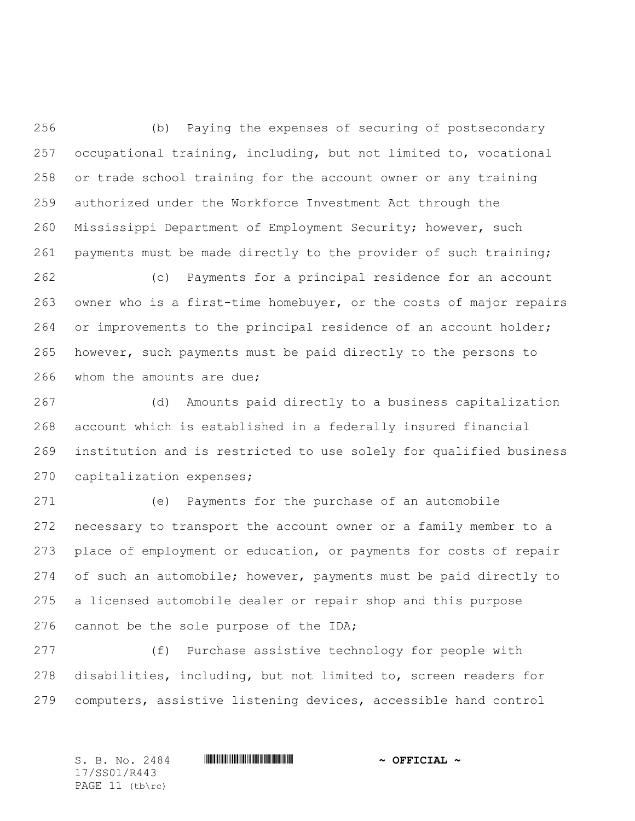(b) Paying the expenses of securing of postsecondary occupational training, including, but not limited to, vocational or trade school training for the account owner or any training authorized under the Workforce Investment Act through the Mississippi Department of Employment Security; however, such payments must be made directly to the provider of such training;

 (c) Payments for a principal residence for an account owner who is a first-time homebuyer, or the costs of major repairs or improvements to the principal residence of an account holder; however, such payments must be paid directly to the persons to whom the amounts are due;

 (d) Amounts paid directly to a business capitalization account which is established in a federally insured financial institution and is restricted to use solely for qualified business capitalization expenses;

 (e) Payments for the purchase of an automobile necessary to transport the account owner or a family member to a place of employment or education, or payments for costs of repair of such an automobile; however, payments must be paid directly to a licensed automobile dealer or repair shop and this purpose 276 cannot be the sole purpose of the IDA;

 (f) Purchase assistive technology for people with disabilities, including, but not limited to, screen readers for computers, assistive listening devices, accessible hand control

17/SS01/R443 PAGE 11 (tb\rc)

S. B. No. 2484 \*SS01/R443\* **~ OFFICIAL ~**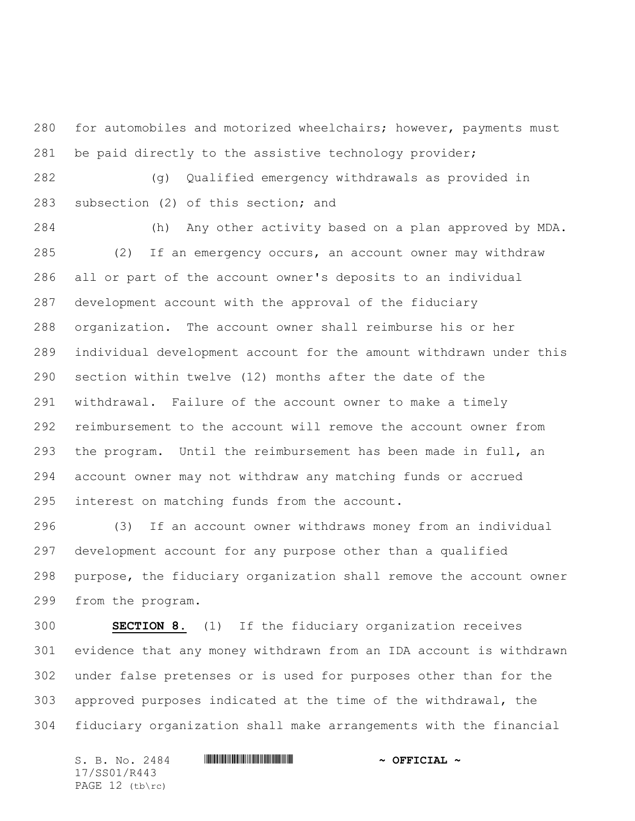for automobiles and motorized wheelchairs; however, payments must be paid directly to the assistive technology provider;

 (g) Qualified emergency withdrawals as provided in subsection (2) of this section; and

 (h) Any other activity based on a plan approved by MDA. (2) If an emergency occurs, an account owner may withdraw all or part of the account owner's deposits to an individual development account with the approval of the fiduciary organization. The account owner shall reimburse his or her individual development account for the amount withdrawn under this section within twelve (12) months after the date of the withdrawal. Failure of the account owner to make a timely reimbursement to the account will remove the account owner from the program. Until the reimbursement has been made in full, an account owner may not withdraw any matching funds or accrued interest on matching funds from the account.

 (3) If an account owner withdraws money from an individual development account for any purpose other than a qualified purpose, the fiduciary organization shall remove the account owner from the program.

 **SECTION 8.** (1) If the fiduciary organization receives evidence that any money withdrawn from an IDA account is withdrawn under false pretenses or is used for purposes other than for the approved purposes indicated at the time of the withdrawal, the fiduciary organization shall make arrangements with the financial

S. B. No. 2484 \*SS01/R443\* **~ OFFICIAL ~** 17/SS01/R443 PAGE 12 (tb\rc)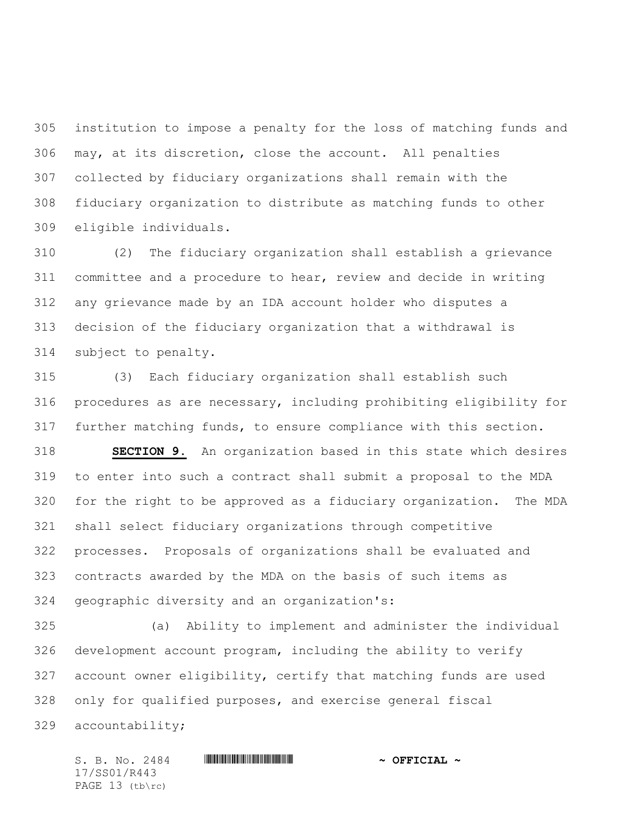institution to impose a penalty for the loss of matching funds and may, at its discretion, close the account. All penalties collected by fiduciary organizations shall remain with the fiduciary organization to distribute as matching funds to other eligible individuals.

 (2) The fiduciary organization shall establish a grievance committee and a procedure to hear, review and decide in writing any grievance made by an IDA account holder who disputes a decision of the fiduciary organization that a withdrawal is subject to penalty.

 (3) Each fiduciary organization shall establish such procedures as are necessary, including prohibiting eligibility for further matching funds, to ensure compliance with this section.

 **SECTION 9.** An organization based in this state which desires to enter into such a contract shall submit a proposal to the MDA for the right to be approved as a fiduciary organization. The MDA shall select fiduciary organizations through competitive processes. Proposals of organizations shall be evaluated and contracts awarded by the MDA on the basis of such items as geographic diversity and an organization's:

 (a) Ability to implement and administer the individual development account program, including the ability to verify account owner eligibility, certify that matching funds are used only for qualified purposes, and exercise general fiscal accountability;

 $S. B. No. 2484$  **. We are allowed the subset of**  $\sim$  **OFFICIAL**  $\sim$ 17/SS01/R443 PAGE 13 (tb\rc)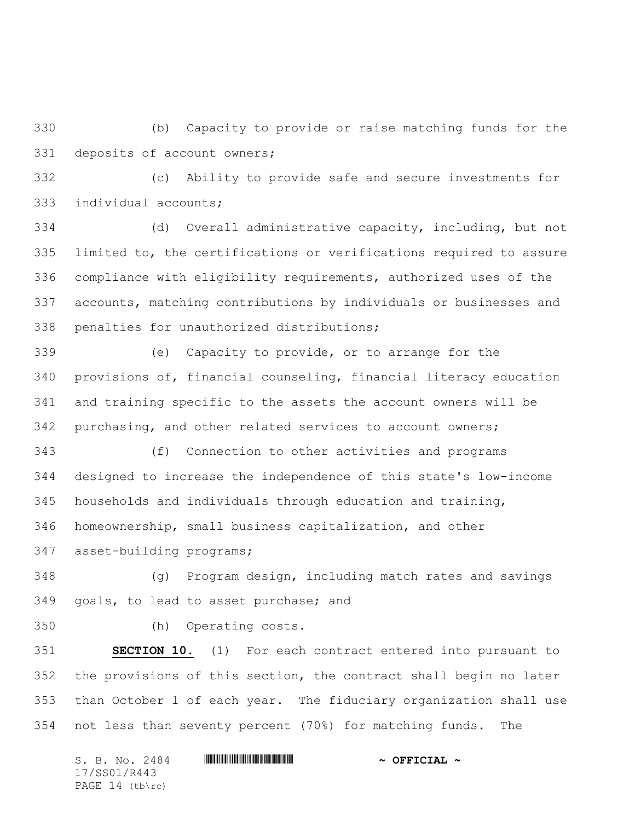(b) Capacity to provide or raise matching funds for the deposits of account owners;

 (c) Ability to provide safe and secure investments for individual accounts;

 (d) Overall administrative capacity, including, but not limited to, the certifications or verifications required to assure compliance with eligibility requirements, authorized uses of the accounts, matching contributions by individuals or businesses and penalties for unauthorized distributions;

 (e) Capacity to provide, or to arrange for the provisions of, financial counseling, financial literacy education and training specific to the assets the account owners will be purchasing, and other related services to account owners;

 (f) Connection to other activities and programs designed to increase the independence of this state's low-income households and individuals through education and training, homeownership, small business capitalization, and other asset-building programs;

 (g) Program design, including match rates and savings goals, to lead to asset purchase; and

(h) Operating costs.

 **SECTION 10.** (1) For each contract entered into pursuant to the provisions of this section, the contract shall begin no later than October 1 of each year. The fiduciary organization shall use not less than seventy percent (70%) for matching funds. The

S. B. No. 2484 \*SS01/R443\* **~ OFFICIAL ~** 17/SS01/R443 PAGE 14 (tb\rc)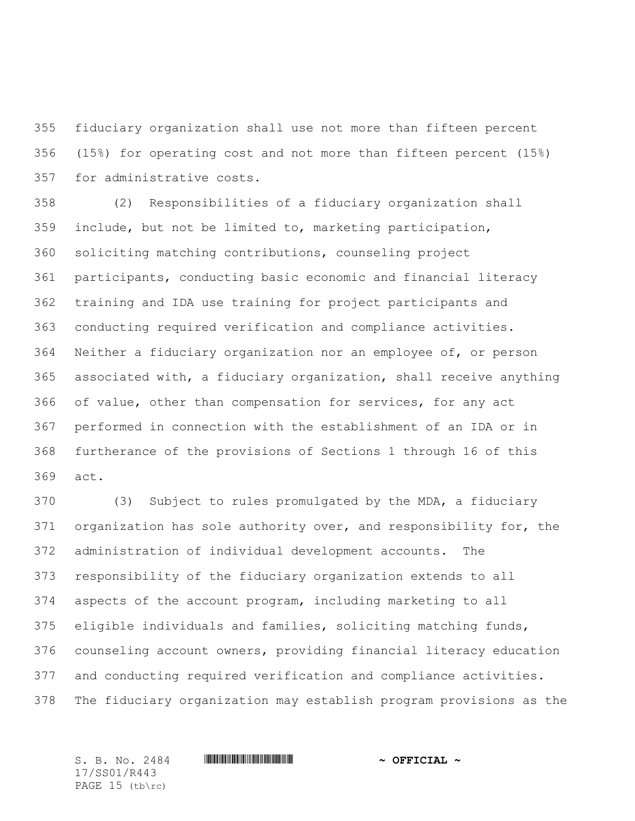fiduciary organization shall use not more than fifteen percent (15%) for operating cost and not more than fifteen percent (15%) for administrative costs.

 (2) Responsibilities of a fiduciary organization shall include, but not be limited to, marketing participation, soliciting matching contributions, counseling project participants, conducting basic economic and financial literacy training and IDA use training for project participants and conducting required verification and compliance activities. Neither a fiduciary organization nor an employee of, or person associated with, a fiduciary organization, shall receive anything of value, other than compensation for services, for any act performed in connection with the establishment of an IDA or in furtherance of the provisions of Sections 1 through 16 of this act.

 (3) Subject to rules promulgated by the MDA, a fiduciary organization has sole authority over, and responsibility for, the administration of individual development accounts. The responsibility of the fiduciary organization extends to all aspects of the account program, including marketing to all eligible individuals and families, soliciting matching funds, counseling account owners, providing financial literacy education and conducting required verification and compliance activities. The fiduciary organization may establish program provisions as the

17/SS01/R443 PAGE 15 (tb\rc)

 $S. B. No. 2484$  **. We are allowed the subset of**  $\sim$  **OFFICIAL**  $\sim$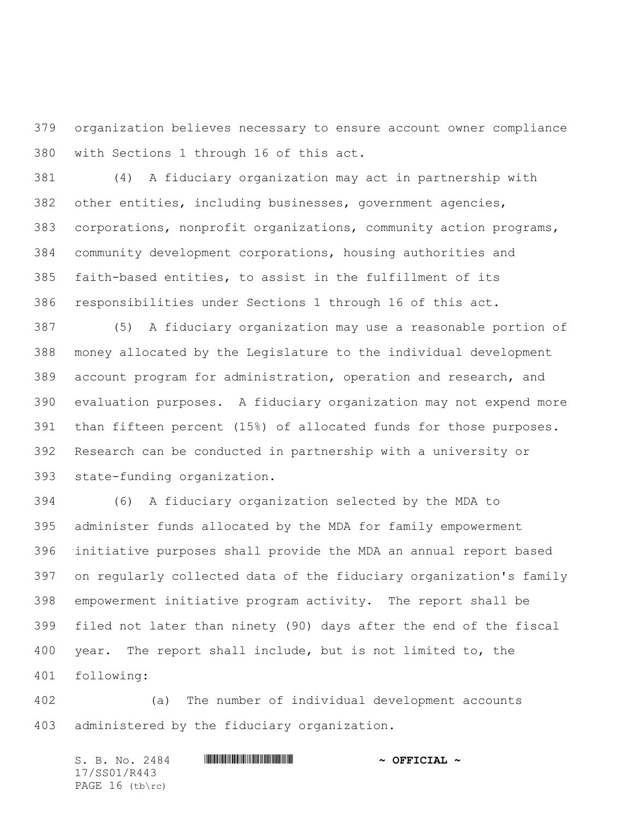organization believes necessary to ensure account owner compliance with Sections 1 through 16 of this act.

 (4) A fiduciary organization may act in partnership with other entities, including businesses, government agencies, corporations, nonprofit organizations, community action programs, community development corporations, housing authorities and faith-based entities, to assist in the fulfillment of its responsibilities under Sections 1 through 16 of this act.

 (5) A fiduciary organization may use a reasonable portion of money allocated by the Legislature to the individual development account program for administration, operation and research, and evaluation purposes. A fiduciary organization may not expend more than fifteen percent (15%) of allocated funds for those purposes. Research can be conducted in partnership with a university or state-funding organization.

 (6) A fiduciary organization selected by the MDA to administer funds allocated by the MDA for family empowerment initiative purposes shall provide the MDA an annual report based on regularly collected data of the fiduciary organization's family empowerment initiative program activity. The report shall be filed not later than ninety (90) days after the end of the fiscal year. The report shall include, but is not limited to, the following:

 (a) The number of individual development accounts administered by the fiduciary organization.

S. B. No. 2484 \*SS01/R443\* **~ OFFICIAL ~** 17/SS01/R443 PAGE 16 (tb\rc)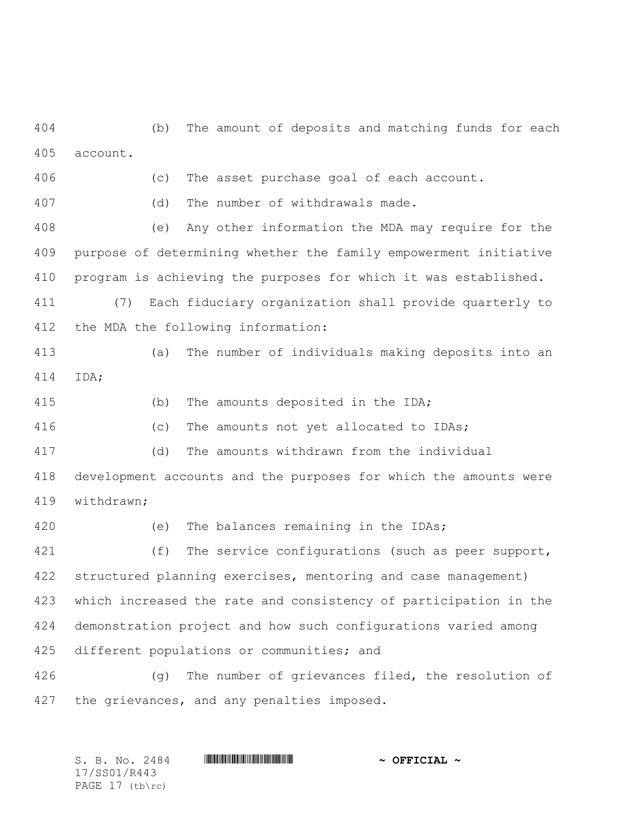(b) The amount of deposits and matching funds for each account.

(c) The asset purchase goal of each account.

(d) The number of withdrawals made.

 (e) Any other information the MDA may require for the purpose of determining whether the family empowerment initiative program is achieving the purposes for which it was established.

 (7) Each fiduciary organization shall provide quarterly to the MDA the following information:

 (a) The number of individuals making deposits into an IDA;

(b) The amounts deposited in the IDA;

(c) The amounts not yet allocated to IDAs;

(d) The amounts withdrawn from the individual

 development accounts and the purposes for which the amounts were withdrawn;

 (e) The balances remaining in the IDAs; 421 (f) The service configurations (such as peer support, structured planning exercises, mentoring and case management) which increased the rate and consistency of participation in the demonstration project and how such configurations varied among different populations or communities; and

 (g) The number of grievances filed, the resolution of the grievances, and any penalties imposed.

 $S. B. No. 2484$  **. We are allowed the subset of**  $\sim$  **OFFICIAL**  $\sim$ 17/SS01/R443 PAGE 17 (tb\rc)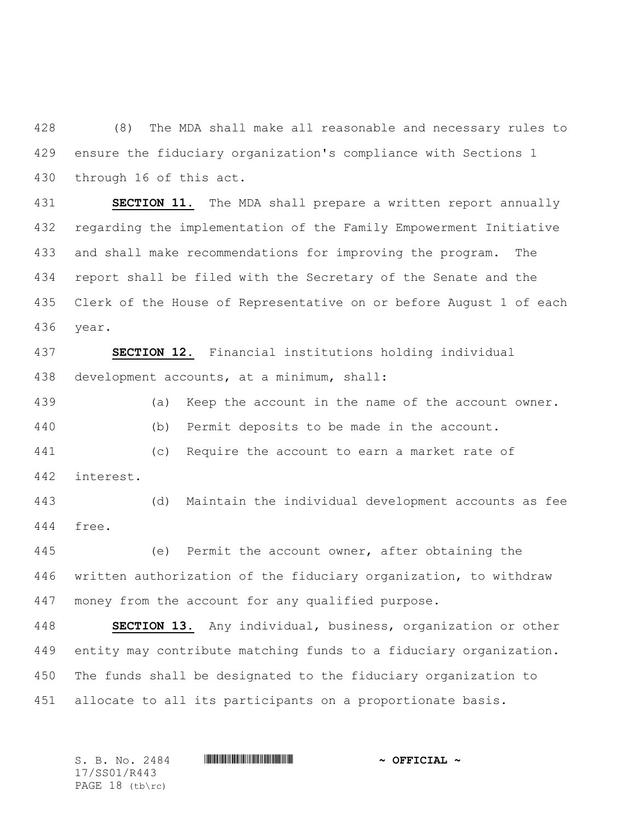(8) The MDA shall make all reasonable and necessary rules to ensure the fiduciary organization's compliance with Sections 1 through 16 of this act.

 **SECTION 11.** The MDA shall prepare a written report annually regarding the implementation of the Family Empowerment Initiative and shall make recommendations for improving the program. The report shall be filed with the Secretary of the Senate and the Clerk of the House of Representative on or before August 1 of each year.

 **SECTION 12.** Financial institutions holding individual development accounts, at a minimum, shall:

 (a) Keep the account in the name of the account owner. (b) Permit deposits to be made in the account. (c) Require the account to earn a market rate of interest.

 (d) Maintain the individual development accounts as fee free.

 (e) Permit the account owner, after obtaining the written authorization of the fiduciary organization, to withdraw money from the account for any qualified purpose.

 **SECTION 13.** Any individual, business, organization or other entity may contribute matching funds to a fiduciary organization. The funds shall be designated to the fiduciary organization to allocate to all its participants on a proportionate basis.

 $S. B. No. 2484$  **. We are allowed the subset of**  $\sim$  **OFFICIAL**  $\sim$ 17/SS01/R443 PAGE 18 (tb\rc)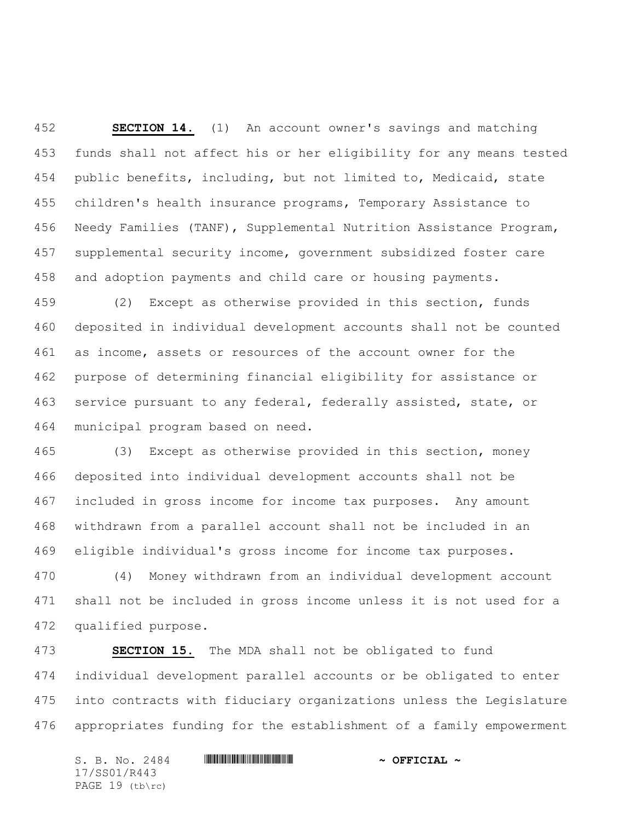**SECTION 14.** (1) An account owner's savings and matching funds shall not affect his or her eligibility for any means tested public benefits, including, but not limited to, Medicaid, state children's health insurance programs, Temporary Assistance to Needy Families (TANF), Supplemental Nutrition Assistance Program, supplemental security income, government subsidized foster care and adoption payments and child care or housing payments.

 (2) Except as otherwise provided in this section, funds deposited in individual development accounts shall not be counted as income, assets or resources of the account owner for the purpose of determining financial eligibility for assistance or service pursuant to any federal, federally assisted, state, or municipal program based on need.

 (3) Except as otherwise provided in this section, money deposited into individual development accounts shall not be included in gross income for income tax purposes. Any amount withdrawn from a parallel account shall not be included in an eligible individual's gross income for income tax purposes.

 (4) Money withdrawn from an individual development account shall not be included in gross income unless it is not used for a qualified purpose.

 **SECTION 15.** The MDA shall not be obligated to fund individual development parallel accounts or be obligated to enter into contracts with fiduciary organizations unless the Legislature appropriates funding for the establishment of a family empowerment

S. B. No. 2484 \*SS01/R443\* **~ OFFICIAL ~** 17/SS01/R443 PAGE 19 (tb\rc)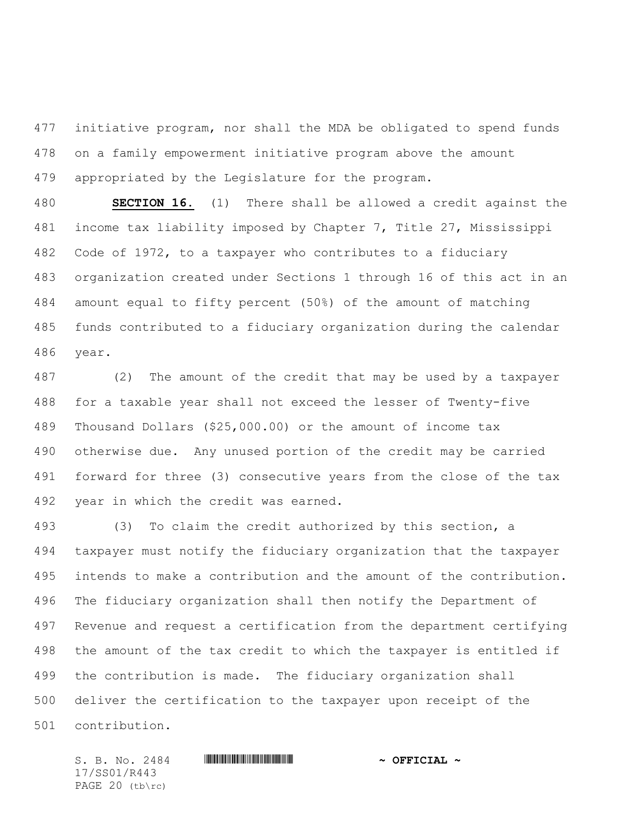initiative program, nor shall the MDA be obligated to spend funds on a family empowerment initiative program above the amount appropriated by the Legislature for the program.

 **SECTION 16.** (1) There shall be allowed a credit against the income tax liability imposed by Chapter 7, Title 27, Mississippi Code of 1972, to a taxpayer who contributes to a fiduciary organization created under Sections 1 through 16 of this act in an amount equal to fifty percent (50%) of the amount of matching funds contributed to a fiduciary organization during the calendar year.

 (2) The amount of the credit that may be used by a taxpayer for a taxable year shall not exceed the lesser of Twenty-five Thousand Dollars (\$25,000.00) or the amount of income tax otherwise due. Any unused portion of the credit may be carried forward for three (3) consecutive years from the close of the tax year in which the credit was earned.

 (3) To claim the credit authorized by this section, a taxpayer must notify the fiduciary organization that the taxpayer intends to make a contribution and the amount of the contribution. The fiduciary organization shall then notify the Department of Revenue and request a certification from the department certifying the amount of the tax credit to which the taxpayer is entitled if the contribution is made. The fiduciary organization shall deliver the certification to the taxpayer upon receipt of the contribution.

17/SS01/R443 PAGE 20 (tb\rc)

 $S.$  B. No. 2484 **\*\*\* |SEEREFILIAR #SSUEFICIAL ~**  $\sim$  OFFICIAL ~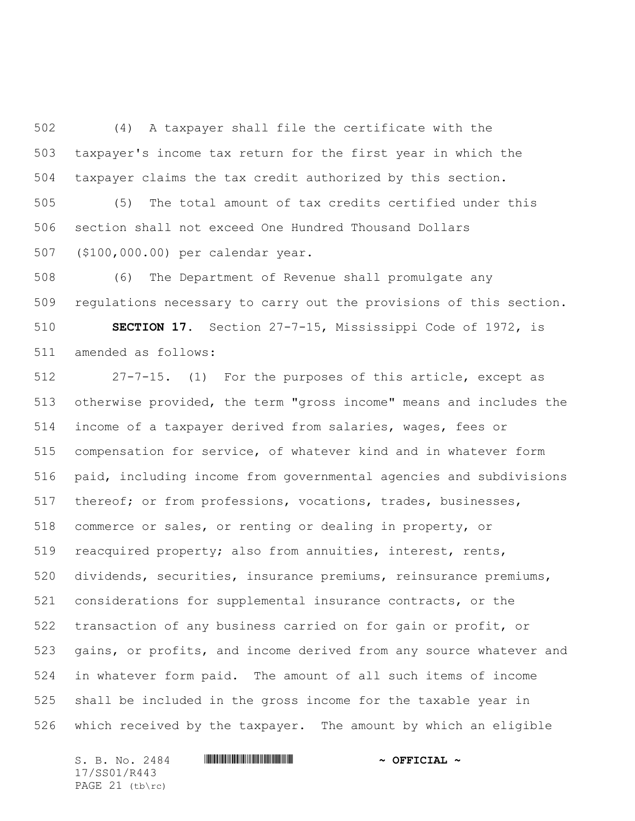(4) A taxpayer shall file the certificate with the taxpayer's income tax return for the first year in which the taxpayer claims the tax credit authorized by this section.

 (5) The total amount of tax credits certified under this section shall not exceed One Hundred Thousand Dollars (\$100,000.00) per calendar year.

 (6) The Department of Revenue shall promulgate any regulations necessary to carry out the provisions of this section.

 **SECTION 17.** Section 27-7-15, Mississippi Code of 1972, is amended as follows:

 27-7-15. (1) For the purposes of this article, except as otherwise provided, the term "gross income" means and includes the income of a taxpayer derived from salaries, wages, fees or compensation for service, of whatever kind and in whatever form paid, including income from governmental agencies and subdivisions thereof; or from professions, vocations, trades, businesses, commerce or sales, or renting or dealing in property, or reacquired property; also from annuities, interest, rents, dividends, securities, insurance premiums, reinsurance premiums, considerations for supplemental insurance contracts, or the transaction of any business carried on for gain or profit, or gains, or profits, and income derived from any source whatever and in whatever form paid. The amount of all such items of income shall be included in the gross income for the taxable year in which received by the taxpayer. The amount by which an eligible

17/SS01/R443 PAGE (tb\rc)

S. B. No. 2484 \*SS01/R443\* **~ OFFICIAL ~**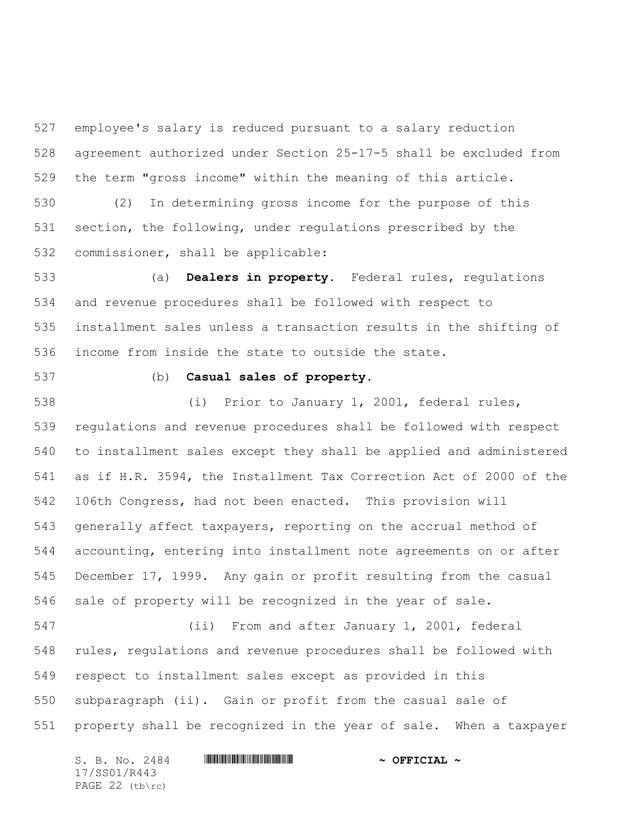employee's salary is reduced pursuant to a salary reduction agreement authorized under Section 25-17-5 shall be excluded from the term "gross income" within the meaning of this article.

 (2) In determining gross income for the purpose of this section, the following, under regulations prescribed by the commissioner, shall be applicable:

 (a) **Dealers in property.** Federal rules, regulations and revenue procedures shall be followed with respect to installment sales unless a transaction results in the shifting of income from inside the state to outside the state.

## (b) **Casual sales of property.**

 (i) Prior to January 1, 2001, federal rules, regulations and revenue procedures shall be followed with respect to installment sales except they shall be applied and administered as if H.R. 3594, the Installment Tax Correction Act of 2000 of the 106th Congress, had not been enacted. This provision will generally affect taxpayers, reporting on the accrual method of accounting, entering into installment note agreements on or after December 17, 1999. Any gain or profit resulting from the casual sale of property will be recognized in the year of sale.

 (ii) From and after January 1, 2001, federal rules, regulations and revenue procedures shall be followed with respect to installment sales except as provided in this subparagraph (ii). Gain or profit from the casual sale of property shall be recognized in the year of sale. When a taxpayer

S. B. No. 2484 \*SS01/R443\* **~ OFFICIAL ~** 17/SS01/R443 PAGE 22 (tb\rc)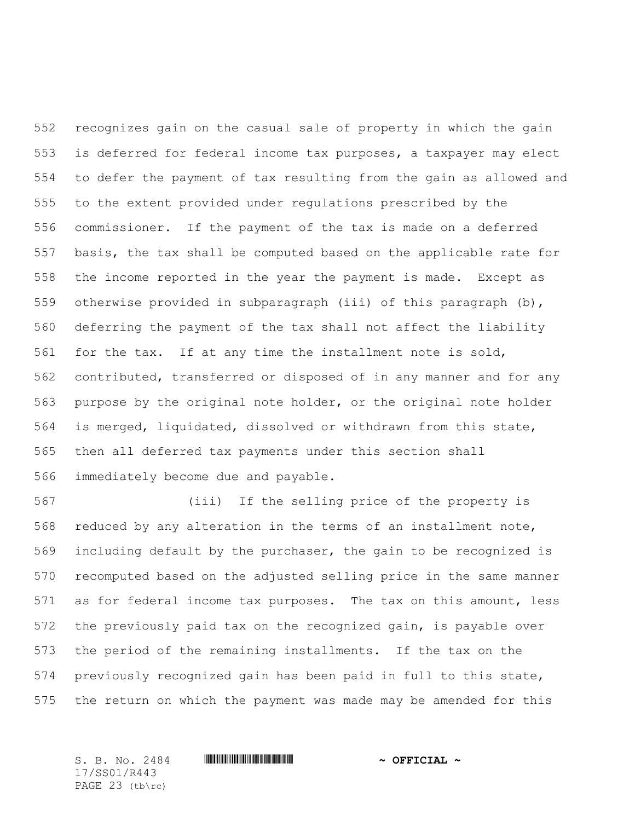recognizes gain on the casual sale of property in which the gain is deferred for federal income tax purposes, a taxpayer may elect to defer the payment of tax resulting from the gain as allowed and to the extent provided under regulations prescribed by the commissioner. If the payment of the tax is made on a deferred basis, the tax shall be computed based on the applicable rate for the income reported in the year the payment is made. Except as otherwise provided in subparagraph (iii) of this paragraph (b), deferring the payment of the tax shall not affect the liability for the tax. If at any time the installment note is sold, contributed, transferred or disposed of in any manner and for any purpose by the original note holder, or the original note holder is merged, liquidated, dissolved or withdrawn from this state, then all deferred tax payments under this section shall immediately become due and payable.

 (iii) If the selling price of the property is reduced by any alteration in the terms of an installment note, including default by the purchaser, the gain to be recognized is recomputed based on the adjusted selling price in the same manner as for federal income tax purposes. The tax on this amount, less the previously paid tax on the recognized gain, is payable over the period of the remaining installments. If the tax on the previously recognized gain has been paid in full to this state, the return on which the payment was made may be amended for this

17/SS01/R443 PAGE 23 (tb\rc)

 $S.$  B. No. 2484 **\*\*\* |SEEREFILIAR #SSUEFICIAL ~**  $\sim$  OFFICIAL ~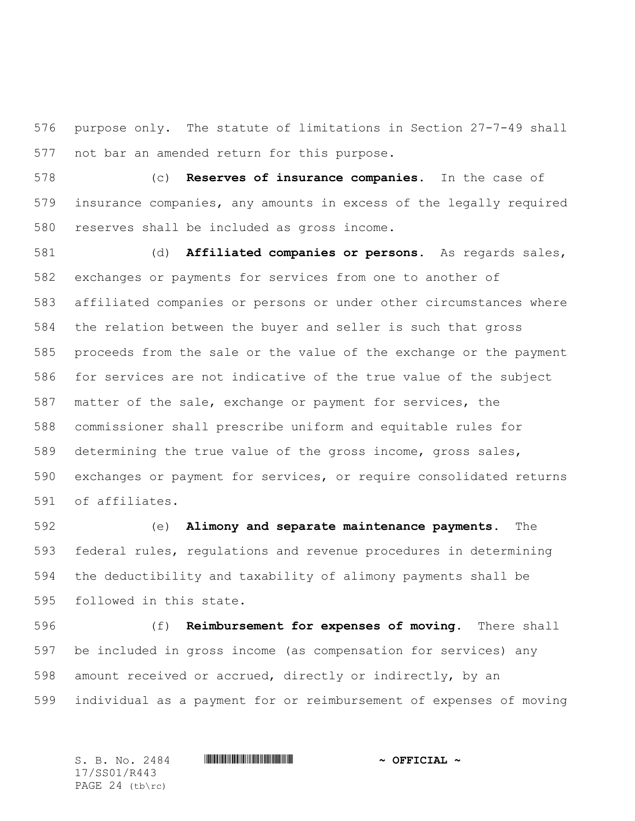purpose only. The statute of limitations in Section 27-7-49 shall not bar an amended return for this purpose.

 (c) **Reserves of insurance companies.** In the case of insurance companies, any amounts in excess of the legally required reserves shall be included as gross income.

 (d) **Affiliated companies or persons.** As regards sales, exchanges or payments for services from one to another of affiliated companies or persons or under other circumstances where the relation between the buyer and seller is such that gross proceeds from the sale or the value of the exchange or the payment for services are not indicative of the true value of the subject matter of the sale, exchange or payment for services, the commissioner shall prescribe uniform and equitable rules for determining the true value of the gross income, gross sales, exchanges or payment for services, or require consolidated returns of affiliates.

 (e) **Alimony and separate maintenance payments.** The federal rules, regulations and revenue procedures in determining the deductibility and taxability of alimony payments shall be followed in this state.

 (f) **Reimbursement for expenses of moving.** There shall be included in gross income (as compensation for services) any amount received or accrued, directly or indirectly, by an individual as a payment for or reimbursement of expenses of moving

 $S.$  B. No. 2484 **\*\*\* |SEEREFILIAR #SSUEFICIAL ~**  $\sim$  OFFICIAL ~ 17/SS01/R443 PAGE 24 (tb\rc)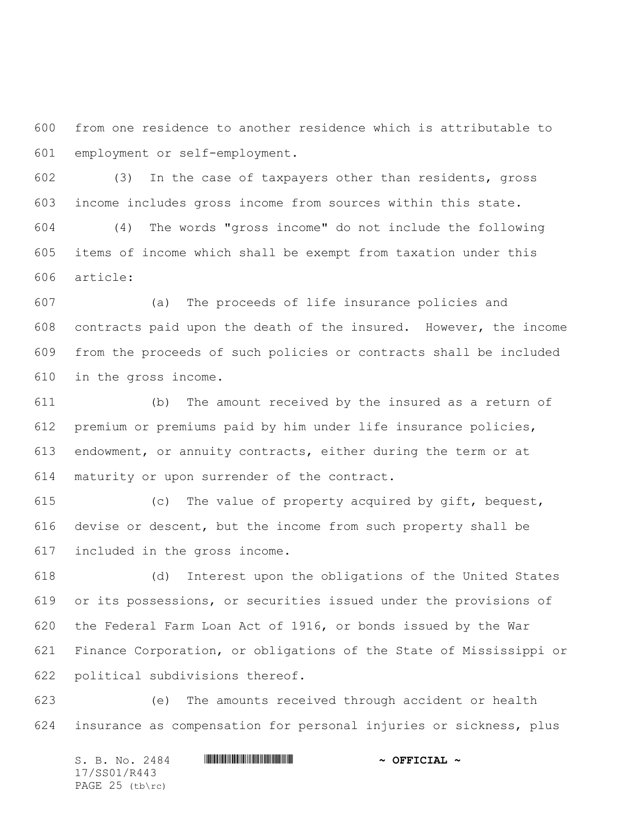from one residence to another residence which is attributable to employment or self-employment.

 (3) In the case of taxpayers other than residents, gross income includes gross income from sources within this state.

 (4) The words "gross income" do not include the following items of income which shall be exempt from taxation under this article:

 (a) The proceeds of life insurance policies and contracts paid upon the death of the insured. However, the income from the proceeds of such policies or contracts shall be included in the gross income.

 (b) The amount received by the insured as a return of premium or premiums paid by him under life insurance policies, endowment, or annuity contracts, either during the term or at maturity or upon surrender of the contract.

 (c) The value of property acquired by gift, bequest, devise or descent, but the income from such property shall be included in the gross income.

 (d) Interest upon the obligations of the United States or its possessions, or securities issued under the provisions of the Federal Farm Loan Act of 1916, or bonds issued by the War Finance Corporation, or obligations of the State of Mississippi or political subdivisions thereof.

 (e) The amounts received through accident or health insurance as compensation for personal injuries or sickness, plus

S. B. No. 2484 \*SS01/R443\* **~ OFFICIAL ~** 17/SS01/R443 PAGE 25 (tb\rc)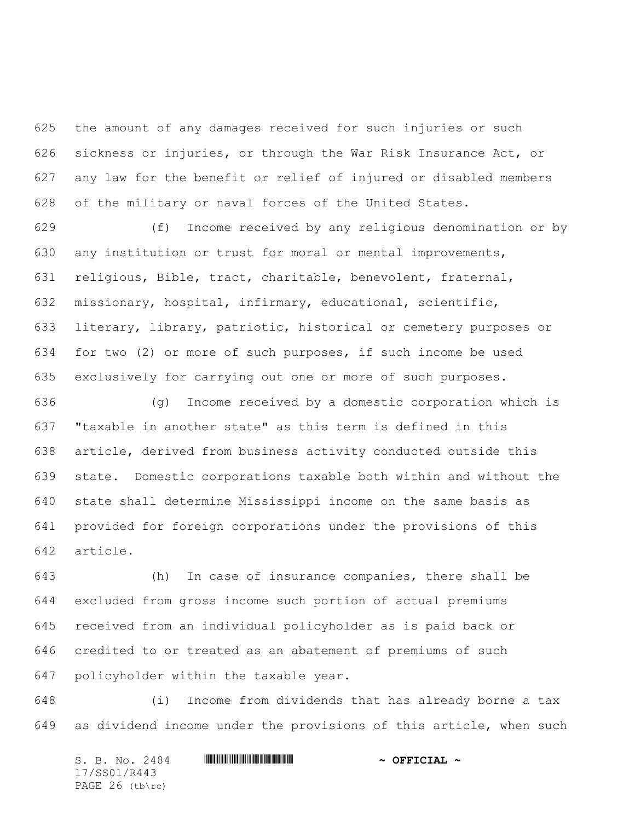the amount of any damages received for such injuries or such sickness or injuries, or through the War Risk Insurance Act, or any law for the benefit or relief of injured or disabled members of the military or naval forces of the United States.

 (f) Income received by any religious denomination or by any institution or trust for moral or mental improvements, religious, Bible, tract, charitable, benevolent, fraternal, missionary, hospital, infirmary, educational, scientific, literary, library, patriotic, historical or cemetery purposes or for two (2) or more of such purposes, if such income be used exclusively for carrying out one or more of such purposes.

 (g) Income received by a domestic corporation which is "taxable in another state" as this term is defined in this article, derived from business activity conducted outside this state. Domestic corporations taxable both within and without the state shall determine Mississippi income on the same basis as provided for foreign corporations under the provisions of this article.

 (h) In case of insurance companies, there shall be excluded from gross income such portion of actual premiums received from an individual policyholder as is paid back or credited to or treated as an abatement of premiums of such policyholder within the taxable year.

 (i) Income from dividends that has already borne a tax as dividend income under the provisions of this article, when such

S. B. No. 2484 \*SS01/R443\* **~ OFFICIAL ~** 17/SS01/R443 PAGE 26 (tb\rc)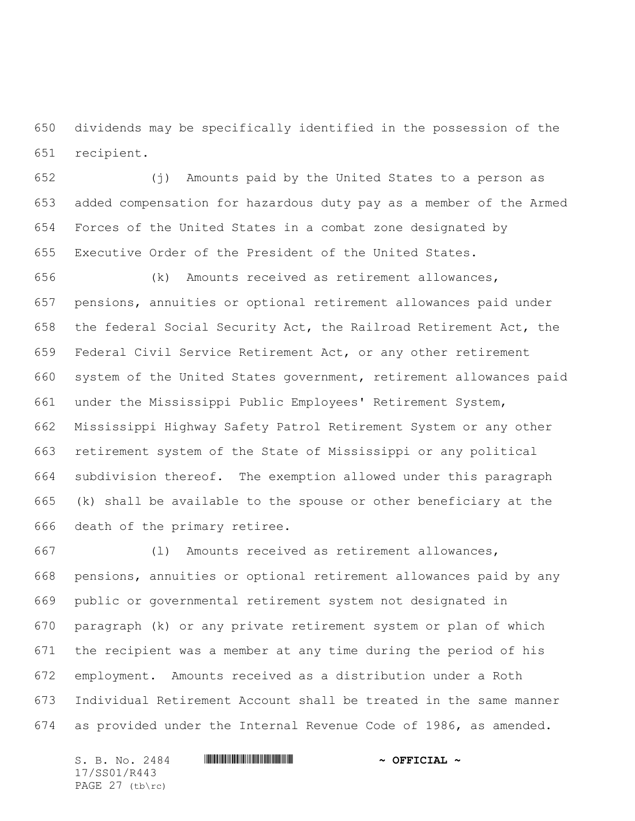dividends may be specifically identified in the possession of the recipient.

 (j) Amounts paid by the United States to a person as added compensation for hazardous duty pay as a member of the Armed Forces of the United States in a combat zone designated by Executive Order of the President of the United States.

 (k) Amounts received as retirement allowances, pensions, annuities or optional retirement allowances paid under the federal Social Security Act, the Railroad Retirement Act, the Federal Civil Service Retirement Act, or any other retirement system of the United States government, retirement allowances paid under the Mississippi Public Employees' Retirement System, Mississippi Highway Safety Patrol Retirement System or any other retirement system of the State of Mississippi or any political subdivision thereof. The exemption allowed under this paragraph (k) shall be available to the spouse or other beneficiary at the death of the primary retiree.

 (l) Amounts received as retirement allowances, pensions, annuities or optional retirement allowances paid by any public or governmental retirement system not designated in paragraph (k) or any private retirement system or plan of which the recipient was a member at any time during the period of his employment. Amounts received as a distribution under a Roth Individual Retirement Account shall be treated in the same manner as provided under the Internal Revenue Code of 1986, as amended.

S. B. No. 2484 \*SS01/R443\* **~ OFFICIAL ~** 17/SS01/R443 PAGE 27 (tb\rc)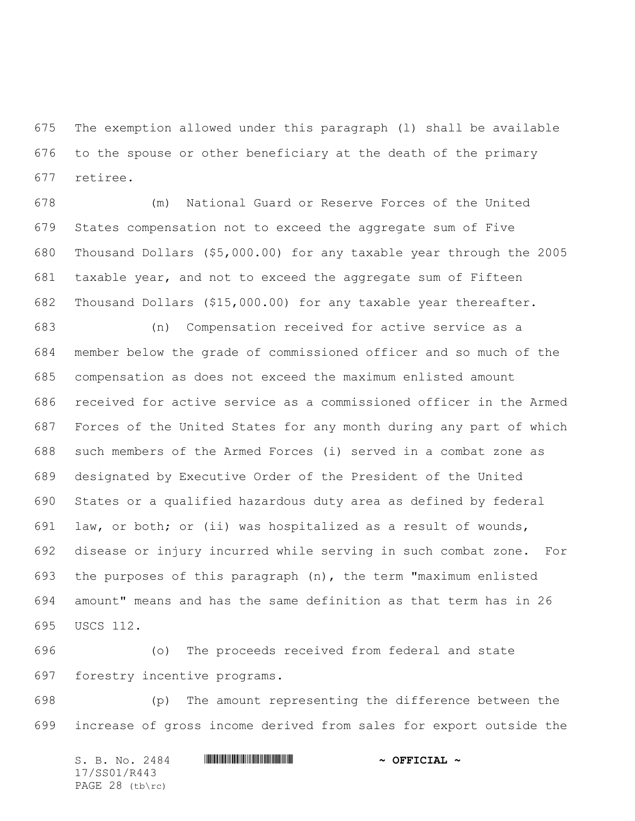The exemption allowed under this paragraph (l) shall be available to the spouse or other beneficiary at the death of the primary retiree.

 (m) National Guard or Reserve Forces of the United States compensation not to exceed the aggregate sum of Five Thousand Dollars (\$5,000.00) for any taxable year through the 2005 taxable year, and not to exceed the aggregate sum of Fifteen Thousand Dollars (\$15,000.00) for any taxable year thereafter.

 (n) Compensation received for active service as a member below the grade of commissioned officer and so much of the compensation as does not exceed the maximum enlisted amount received for active service as a commissioned officer in the Armed Forces of the United States for any month during any part of which such members of the Armed Forces (i) served in a combat zone as designated by Executive Order of the President of the United States or a qualified hazardous duty area as defined by federal law, or both; or (ii) was hospitalized as a result of wounds, disease or injury incurred while serving in such combat zone. For the purposes of this paragraph (n), the term "maximum enlisted amount" means and has the same definition as that term has in 26 USCS 112.

 (o) The proceeds received from federal and state forestry incentive programs.

 (p) The amount representing the difference between the increase of gross income derived from sales for export outside the

S. B. No. 2484 \*SS01/R443\* **~ OFFICIAL ~** 17/SS01/R443 PAGE 28 (tb\rc)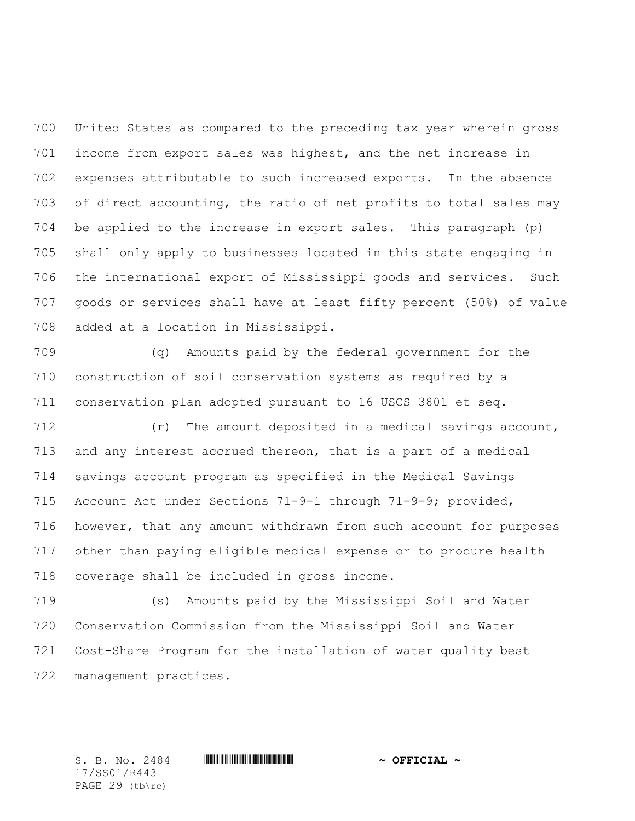United States as compared to the preceding tax year wherein gross income from export sales was highest, and the net increase in expenses attributable to such increased exports. In the absence of direct accounting, the ratio of net profits to total sales may be applied to the increase in export sales. This paragraph (p) shall only apply to businesses located in this state engaging in the international export of Mississippi goods and services. Such goods or services shall have at least fifty percent (50%) of value added at a location in Mississippi.

 (q) Amounts paid by the federal government for the construction of soil conservation systems as required by a conservation plan adopted pursuant to 16 USCS 3801 et seq.

 (r) The amount deposited in a medical savings account, and any interest accrued thereon, that is a part of a medical savings account program as specified in the Medical Savings Account Act under Sections 71-9-1 through 71-9-9; provided, however, that any amount withdrawn from such account for purposes other than paying eligible medical expense or to procure health coverage shall be included in gross income.

 (s) Amounts paid by the Mississippi Soil and Water Conservation Commission from the Mississippi Soil and Water Cost-Share Program for the installation of water quality best management practices.

17/SS01/R443 PAGE 29 (tb\rc)

 $S.$  B. No. 2484 **\*\*\* |SEEREFILIAR #SSUEFICIAL ~**  $\sim$  OFFICIAL ~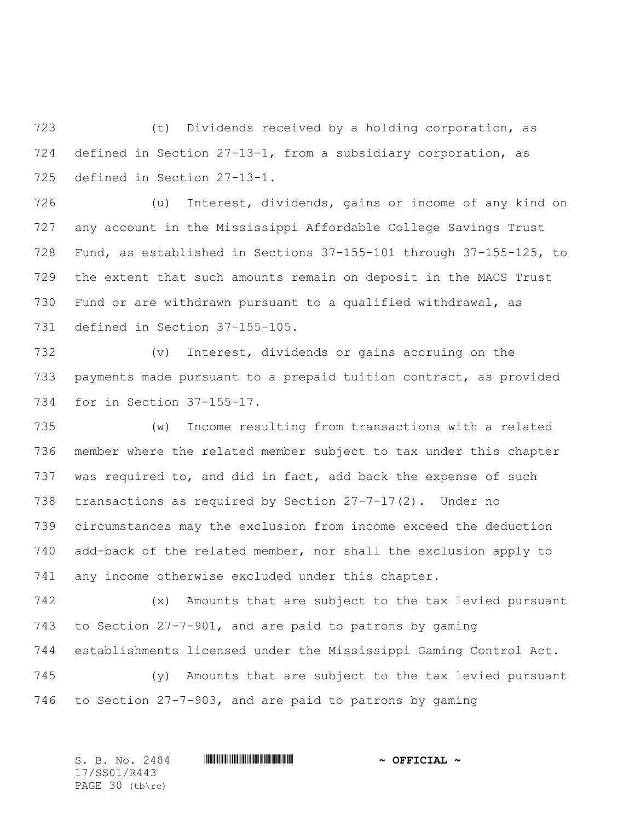(t) Dividends received by a holding corporation, as defined in Section 27-13-1, from a subsidiary corporation, as defined in Section 27-13-1.

 (u) Interest, dividends, gains or income of any kind on any account in the Mississippi Affordable College Savings Trust Fund, as established in Sections 37-155-101 through 37-155-125, to the extent that such amounts remain on deposit in the MACS Trust Fund or are withdrawn pursuant to a qualified withdrawal, as defined in Section 37-155-105.

 (v) Interest, dividends or gains accruing on the payments made pursuant to a prepaid tuition contract, as provided for in Section 37-155-17.

 (w) Income resulting from transactions with a related member where the related member subject to tax under this chapter was required to, and did in fact, add back the expense of such transactions as required by Section 27-7-17(2). Under no circumstances may the exclusion from income exceed the deduction add-back of the related member, nor shall the exclusion apply to any income otherwise excluded under this chapter.

 (x) Amounts that are subject to the tax levied pursuant to Section 27-7-901, and are paid to patrons by gaming establishments licensed under the Mississippi Gaming Control Act.

 (y) Amounts that are subject to the tax levied pursuant to Section 27-7-903, and are paid to patrons by gaming

S. B. No. 2484 \*SS01/R443\* **~ OFFICIAL ~** 17/SS01/R443 PAGE 30 (tb\rc)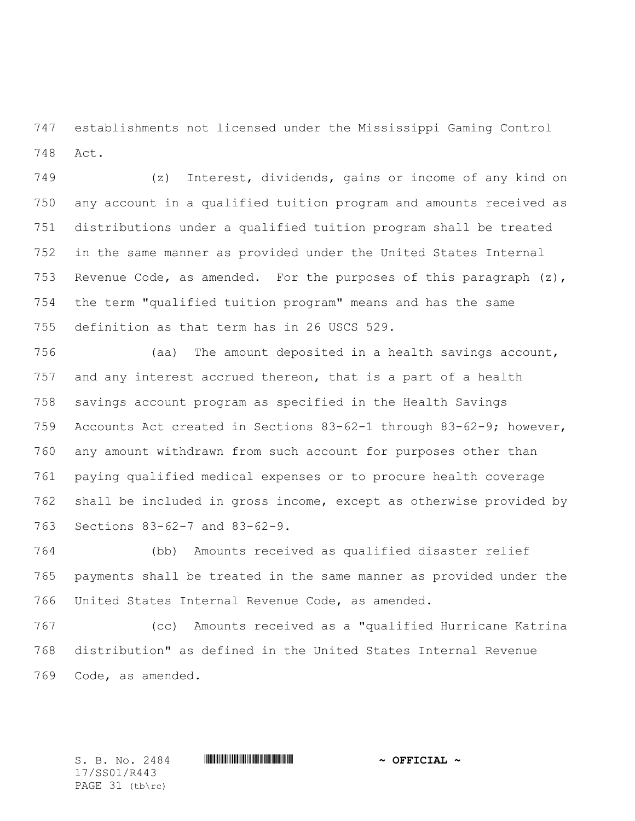establishments not licensed under the Mississippi Gaming Control Act.

 (z) Interest, dividends, gains or income of any kind on any account in a qualified tuition program and amounts received as distributions under a qualified tuition program shall be treated in the same manner as provided under the United States Internal 753 Revenue Code, as amended. For the purposes of this paragraph  $(z)$ , the term "qualified tuition program" means and has the same definition as that term has in 26 USCS 529.

 (aa) The amount deposited in a health savings account, and any interest accrued thereon, that is a part of a health savings account program as specified in the Health Savings Accounts Act created in Sections 83-62-1 through 83-62-9; however, any amount withdrawn from such account for purposes other than paying qualified medical expenses or to procure health coverage shall be included in gross income, except as otherwise provided by Sections 83-62-7 and 83-62-9.

 (bb) Amounts received as qualified disaster relief payments shall be treated in the same manner as provided under the United States Internal Revenue Code, as amended.

 (cc) Amounts received as a "qualified Hurricane Katrina distribution" as defined in the United States Internal Revenue Code, as amended.

17/SS01/R443 PAGE 31 (tb\rc)

 $S.$  B. No. 2484 **\*\*\* |SEEREFILIAR #SSUEFICIAL ~**  $\sim$  OFFICIAL ~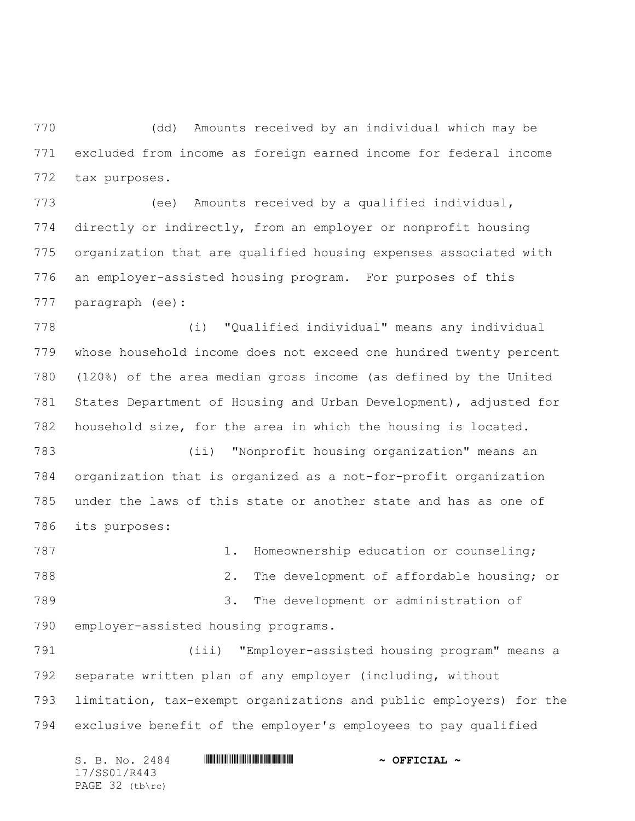(dd) Amounts received by an individual which may be excluded from income as foreign earned income for federal income tax purposes.

 (ee) Amounts received by a qualified individual, directly or indirectly, from an employer or nonprofit housing organization that are qualified housing expenses associated with an employer-assisted housing program. For purposes of this paragraph (ee):

 (i) "Qualified individual" means any individual whose household income does not exceed one hundred twenty percent (120%) of the area median gross income (as defined by the United States Department of Housing and Urban Development), adjusted for household size, for the area in which the housing is located.

 (ii) "Nonprofit housing organization" means an organization that is organized as a not-for-profit organization under the laws of this state or another state and has as one of its purposes:

787 1. Homeownership education or counseling; 2. The development of affordable housing; or 3. The development or administration of employer-assisted housing programs.

 (iii) "Employer-assisted housing program" means a separate written plan of any employer (including, without limitation, tax-exempt organizations and public employers) for the exclusive benefit of the employer's employees to pay qualified

S. B. No. 2484 \*SS01/R443\* **~ OFFICIAL ~** 17/SS01/R443 PAGE 32 (tb\rc)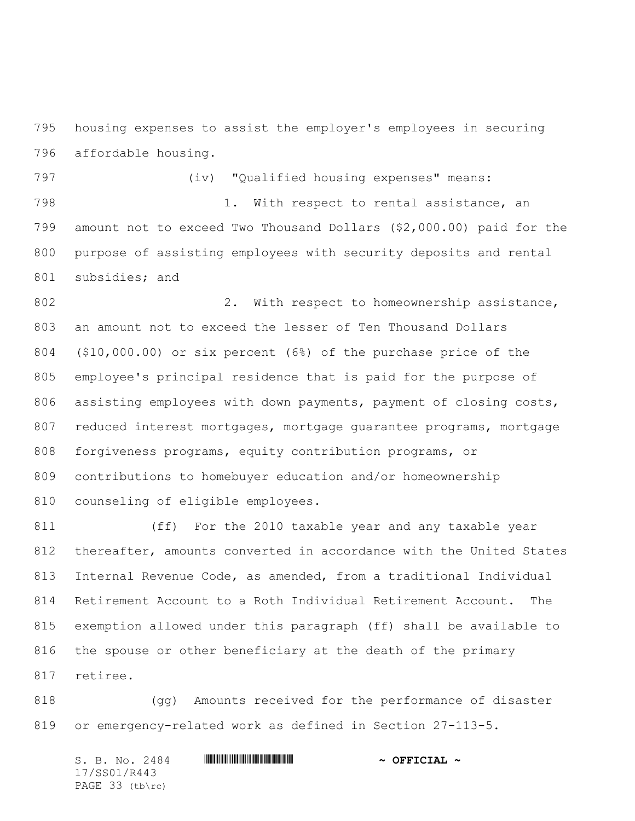housing expenses to assist the employer's employees in securing affordable housing.

 (iv) "Qualified housing expenses" means: 798 1. With respect to rental assistance, an amount not to exceed Two Thousand Dollars (\$2,000.00) paid for the purpose of assisting employees with security deposits and rental subsidies; and

802 2. With respect to homeownership assistance, an amount not to exceed the lesser of Ten Thousand Dollars (\$10,000.00) or six percent (6%) of the purchase price of the employee's principal residence that is paid for the purpose of 806 assisting employees with down payments, payment of closing costs, 807 reduced interest mortgages, mortgage guarantee programs, mortgage forgiveness programs, equity contribution programs, or contributions to homebuyer education and/or homeownership counseling of eligible employees.

 (ff) For the 2010 taxable year and any taxable year thereafter, amounts converted in accordance with the United States Internal Revenue Code, as amended, from a traditional Individual Retirement Account to a Roth Individual Retirement Account. The exemption allowed under this paragraph (ff) shall be available to the spouse or other beneficiary at the death of the primary retiree.

 (gg) Amounts received for the performance of disaster or emergency-related work as defined in Section 27-113-5.

 $S.$  B. No. 2484 **\*\*\* |SEEREFILIAR #SSUEFICIAL ~**  $\sim$  OFFICIAL ~ 17/SS01/R443 PAGE 33 (tb\rc)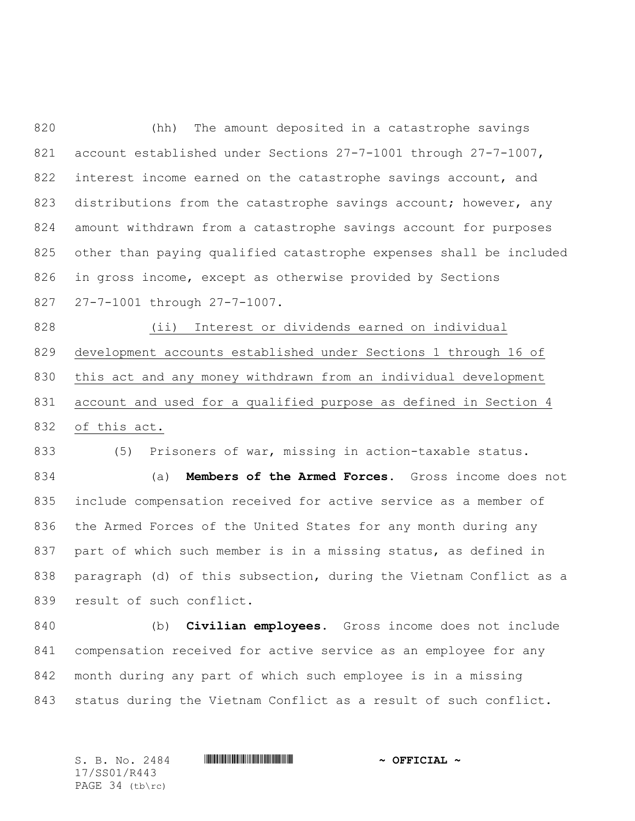(hh) The amount deposited in a catastrophe savings account established under Sections 27-7-1001 through 27-7-1007, 822 interest income earned on the catastrophe savings account, and 823 distributions from the catastrophe savings account; however, any amount withdrawn from a catastrophe savings account for purposes other than paying qualified catastrophe expenses shall be included in gross income, except as otherwise provided by Sections 27-7-1001 through 27-7-1007.

 (ii) Interest or dividends earned on individual development accounts established under Sections 1 through 16 of this act and any money withdrawn from an individual development account and used for a qualified purpose as defined in Section 4 of this act.

(5) Prisoners of war, missing in action-taxable status.

 (a) **Members of the Armed Forces.** Gross income does not include compensation received for active service as a member of the Armed Forces of the United States for any month during any part of which such member is in a missing status, as defined in paragraph (d) of this subsection, during the Vietnam Conflict as a result of such conflict.

 (b) **Civilian employees.** Gross income does not include compensation received for active service as an employee for any month during any part of which such employee is in a missing status during the Vietnam Conflict as a result of such conflict.

 $S.$  B. No. 2484 **\*\*\* |SEEREFILIAR #SSUEFICIAL ~**  $\sim$  OFFICIAL ~ 17/SS01/R443 PAGE 34 (tb\rc)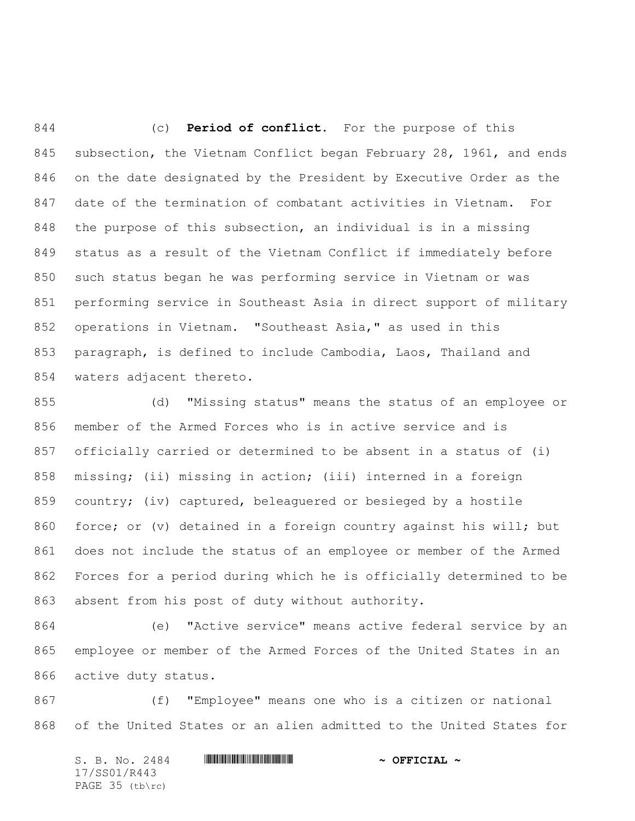(c) **Period of conflict.** For the purpose of this subsection, the Vietnam Conflict began February 28, 1961, and ends on the date designated by the President by Executive Order as the date of the termination of combatant activities in Vietnam. For the purpose of this subsection, an individual is in a missing status as a result of the Vietnam Conflict if immediately before such status began he was performing service in Vietnam or was performing service in Southeast Asia in direct support of military operations in Vietnam. "Southeast Asia," as used in this paragraph, is defined to include Cambodia, Laos, Thailand and waters adjacent thereto.

 (d) "Missing status" means the status of an employee or member of the Armed Forces who is in active service and is officially carried or determined to be absent in a status of (i) missing; (ii) missing in action; (iii) interned in a foreign country; (iv) captured, beleaguered or besieged by a hostile force; or (v) detained in a foreign country against his will; but does not include the status of an employee or member of the Armed Forces for a period during which he is officially determined to be absent from his post of duty without authority.

 (e) "Active service" means active federal service by an employee or member of the Armed Forces of the United States in an active duty status.

 (f) "Employee" means one who is a citizen or national of the United States or an alien admitted to the United States for

S. B. No. 2484 \*SS01/R443\* **~ OFFICIAL ~** 17/SS01/R443 PAGE 35 (tb\rc)